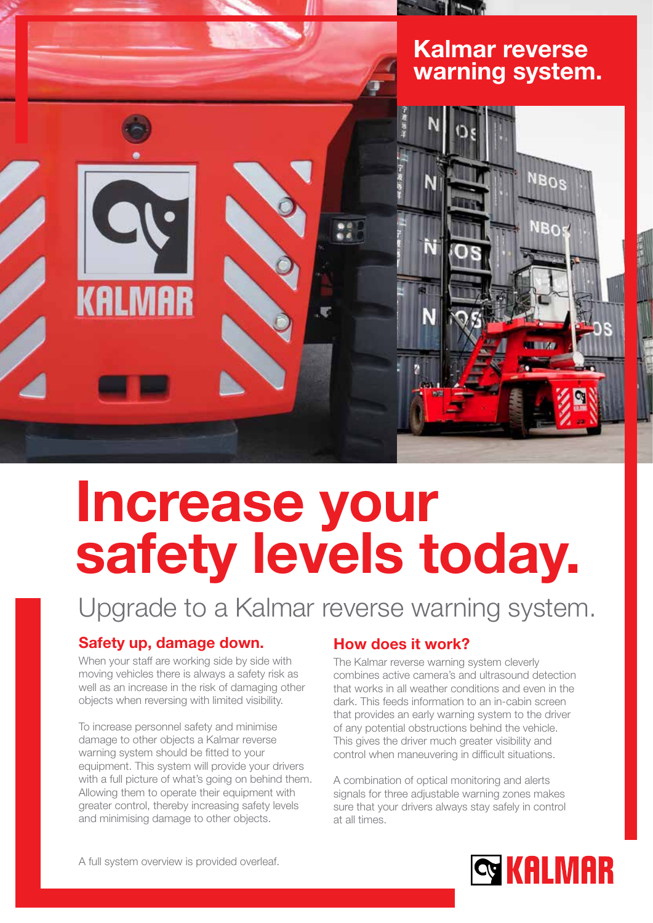## Kalmar reverse warning system.



# Increase your safety levels today.

Upgrade to a Kalmar reverse warning system.

## Safety up, damage down.

When your staff are working side by side with moving vehicles there is always a safety risk as well as an increase in the risk of damaging other objects when reversing with limited visibility.

To increase personnel safety and minimise damage to other objects a Kalmar reverse warning system should be fitted to your equipment. This system will provide your drivers with a full picture of what's going on behind them. Allowing them to operate their equipment with greater control, thereby increasing safety levels and minimising damage to other objects.

## How does it work?

The Kalmar reverse warning system cleverly combines active camera's and ultrasound detection that works in all weather conditions and even in the dark. This feeds information to an in-cabin screen that provides an early warning system to the driver of any potential obstructions behind the vehicle. This gives the driver much greater visibility and control when maneuvering in difficult situations.

A combination of optical monitoring and alerts signals for three adjustable warning zones makes sure that your drivers always stay safely in control at all times.



A full system overview is provided overleaf.